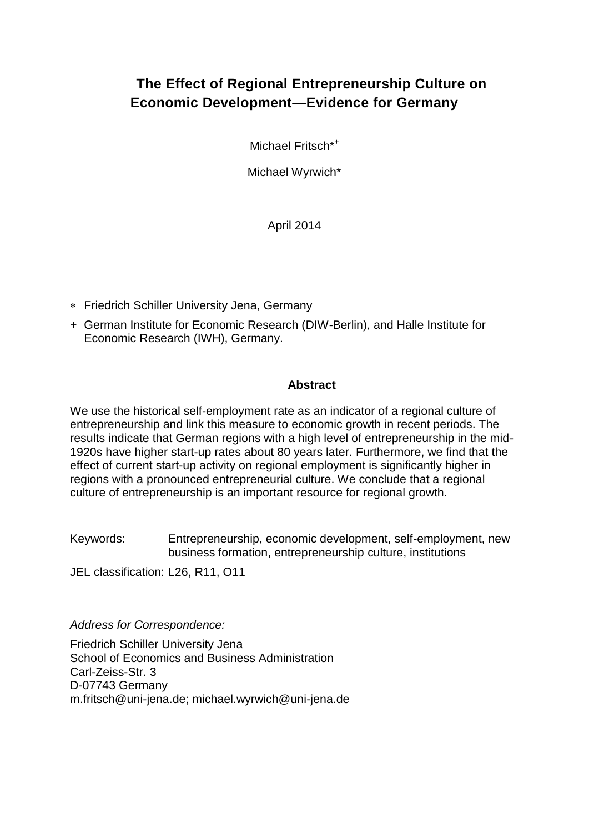# **The Effect of Regional Entrepreneurship Culture on Economic Development—Evidence for Germany**

Michael Fritsch<sup>\*+</sup>

Michael Wyrwich\*

April 2014

- Friedrich Schiller University Jena, Germany
- + German Institute for Economic Research (DIW-Berlin), and Halle Institute for Economic Research (IWH), Germany.

### **Abstract**

We use the historical self-employment rate as an indicator of a regional culture of entrepreneurship and link this measure to economic growth in recent periods. The results indicate that German regions with a high level of entrepreneurship in the mid-1920s have higher start-up rates about 80 years later. Furthermore, we find that the effect of current start-up activity on regional employment is significantly higher in regions with a pronounced entrepreneurial culture. We conclude that a regional culture of entrepreneurship is an important resource for regional growth.

Keywords: Entrepreneurship, economic development, self-employment, new business formation, entrepreneurship culture, institutions

JEL classification: L26, R11, O11

*Address for Correspondence:*

Friedrich Schiller University Jena School of Economics and Business Administration Carl-Zeiss-Str. 3 D-07743 Germany m.fritsch@uni-jena.de; michael.wyrwich@uni-jena.de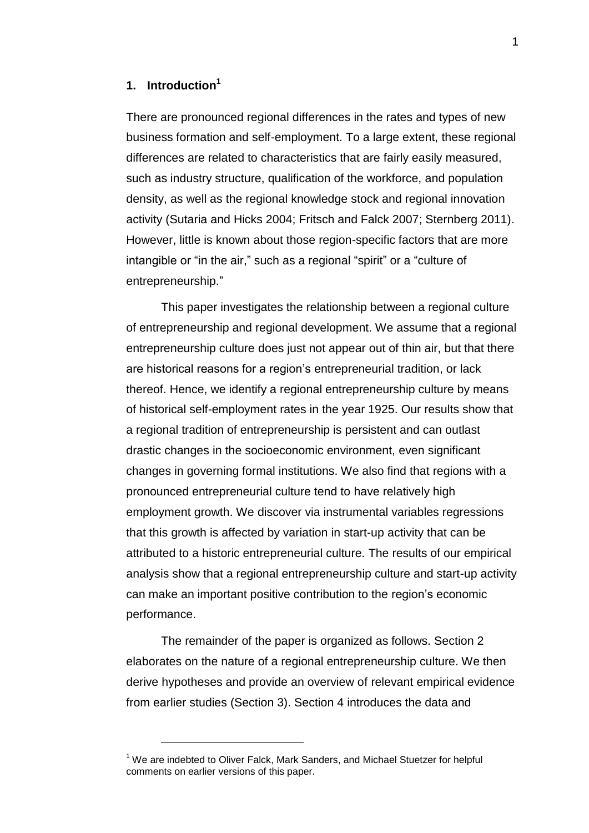# **1. Introduction<sup>1</sup>**

l

There are pronounced regional differences in the rates and types of new business formation and self-employment. To a large extent, these regional differences are related to characteristics that are fairly easily measured, such as industry structure, qualification of the workforce, and population density, as well as the regional knowledge stock and regional innovation activity (Sutaria and Hicks 2004; Fritsch and Falck 2007; Sternberg 2011). However, little is known about those region-specific factors that are more intangible or "in the air," such as a regional "spirit" or a "culture of entrepreneurship."

This paper investigates the relationship between a regional culture of entrepreneurship and regional development. We assume that a regional entrepreneurship culture does just not appear out of thin air, but that there are historical reasons for a region's entrepreneurial tradition, or lack thereof. Hence, we identify a regional entrepreneurship culture by means of historical self-employment rates in the year 1925. Our results show that a regional tradition of entrepreneurship is persistent and can outlast drastic changes in the socioeconomic environment, even significant changes in governing formal institutions. We also find that regions with a pronounced entrepreneurial culture tend to have relatively high employment growth. We discover via instrumental variables regressions that this growth is affected by variation in start-up activity that can be attributed to a historic entrepreneurial culture. The results of our empirical analysis show that a regional entrepreneurship culture and start-up activity can make an important positive contribution to the region's economic performance.

The remainder of the paper is organized as follows. Section 2 elaborates on the nature of a regional entrepreneurship culture. We then derive hypotheses and provide an overview of relevant empirical evidence from earlier studies (Section 3). Section 4 introduces the data and

<sup>&</sup>lt;sup>1</sup> We are indebted to Oliver Falck, Mark Sanders, and Michael Stuetzer for helpful comments on earlier versions of this paper.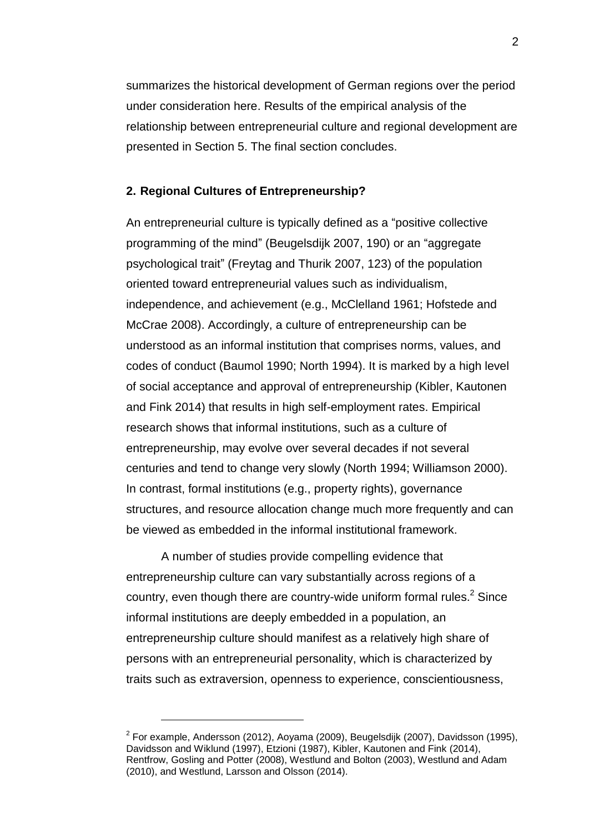l

summarizes the historical development of German regions over the period under consideration here. Results of the empirical analysis of the relationship between entrepreneurial culture and regional development are presented in Section 5. The final section concludes.

#### **2. Regional Cultures of Entrepreneurship?**

An entrepreneurial culture is typically defined as a "positive collective programming of the mind" (Beugelsdijk 2007, 190) or an "aggregate psychological trait" (Freytag and Thurik 2007, 123) of the population oriented toward entrepreneurial values such as individualism, independence, and achievement (e.g., McClelland 1961; Hofstede and McCrae 2008). Accordingly, a culture of entrepreneurship can be understood as an informal institution that comprises norms, values, and codes of conduct (Baumol 1990; North 1994). It is marked by a high level of social acceptance and approval of entrepreneurship (Kibler, Kautonen and Fink 2014) that results in high self-employment rates. Empirical research shows that informal institutions, such as a culture of entrepreneurship, may evolve over several decades if not several centuries and tend to change very slowly (North 1994; Williamson 2000). In contrast, formal institutions (e.g., property rights), governance structures, and resource allocation change much more frequently and can be viewed as embedded in the informal institutional framework.

A number of studies provide compelling evidence that entrepreneurship culture can vary substantially across regions of a country, even though there are country-wide uniform formal rules. $2$  Since informal institutions are deeply embedded in a population, an entrepreneurship culture should manifest as a relatively high share of persons with an entrepreneurial personality, which is characterized by traits such as extraversion, openness to experience, conscientiousness,

 $^{2}$  For example, Andersson (2012), Aoyama (2009), Beugelsdijk (2007), Davidsson (1995), Davidsson and Wiklund (1997), Etzioni (1987), Kibler, Kautonen and Fink (2014), Rentfrow, Gosling and Potter (2008), Westlund and Bolton (2003), Westlund and Adam (2010), and Westlund, Larsson and Olsson (2014).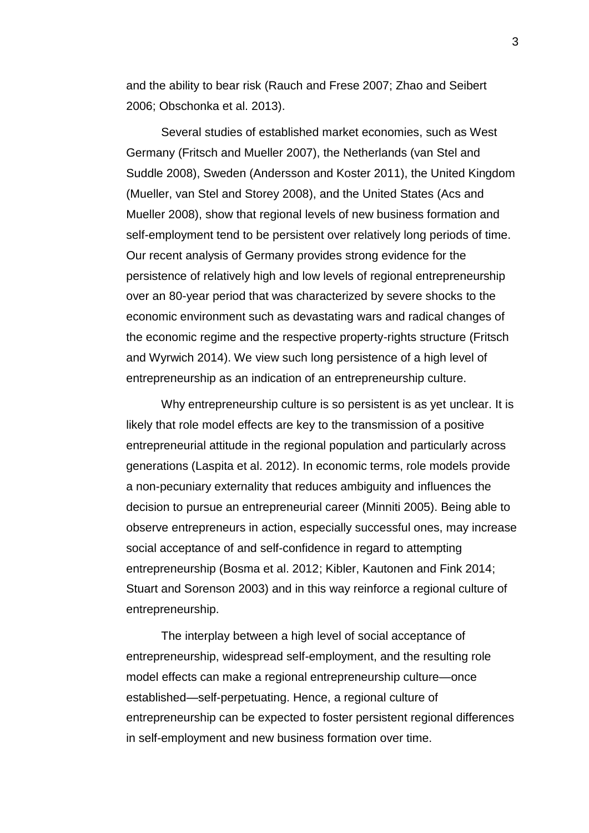and the ability to bear risk (Rauch and Frese 2007; Zhao and Seibert 2006; Obschonka et al. 2013).

Several studies of established market economies, such as West Germany (Fritsch and Mueller 2007), the Netherlands (van Stel and Suddle 2008), Sweden (Andersson and Koster 2011), the United Kingdom (Mueller, van Stel and Storey 2008), and the United States (Acs and Mueller 2008), show that regional levels of new business formation and self-employment tend to be persistent over relatively long periods of time. Our recent analysis of Germany provides strong evidence for the persistence of relatively high and low levels of regional entrepreneurship over an 80-year period that was characterized by severe shocks to the economic environment such as devastating wars and radical changes of the economic regime and the respective property-rights structure (Fritsch and Wyrwich 2014). We view such long persistence of a high level of entrepreneurship as an indication of an entrepreneurship culture.

Why entrepreneurship culture is so persistent is as yet unclear. It is likely that role model effects are key to the transmission of a positive entrepreneurial attitude in the regional population and particularly across generations (Laspita et al. 2012). In economic terms, role models provide a non-pecuniary externality that reduces ambiguity and influences the decision to pursue an entrepreneurial career (Minniti 2005). Being able to observe entrepreneurs in action, especially successful ones, may increase social acceptance of and self-confidence in regard to attempting entrepreneurship (Bosma et al. 2012; Kibler, Kautonen and Fink 2014; Stuart and Sorenson 2003) and in this way reinforce a regional culture of entrepreneurship.

The interplay between a high level of social acceptance of entrepreneurship, widespread self-employment, and the resulting role model effects can make a regional entrepreneurship culture—once established—self-perpetuating. Hence, a regional culture of entrepreneurship can be expected to foster persistent regional differences in self-employment and new business formation over time.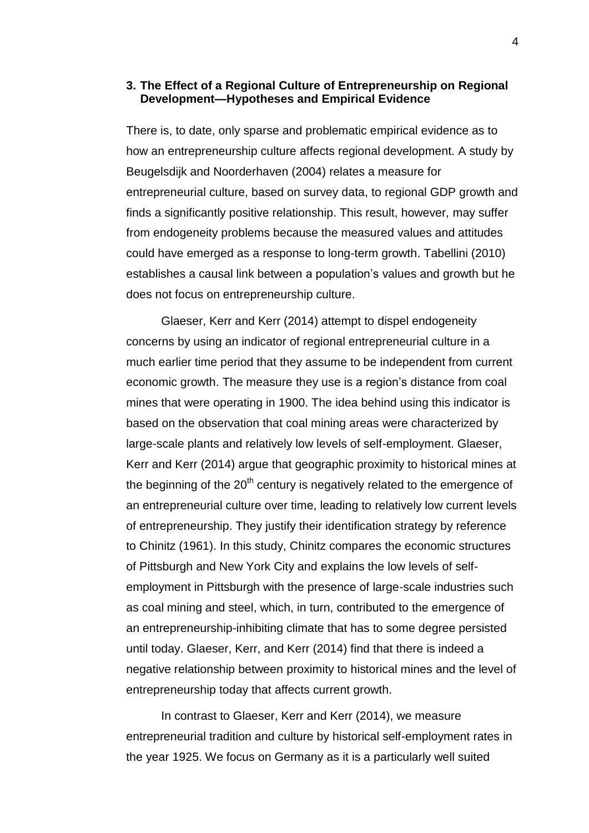#### **3. The Effect of a Regional Culture of Entrepreneurship on Regional Development—Hypotheses and Empirical Evidence**

There is, to date, only sparse and problematic empirical evidence as to how an entrepreneurship culture affects regional development. A study by Beugelsdijk and Noorderhaven (2004) relates a measure for entrepreneurial culture, based on survey data, to regional GDP growth and finds a significantly positive relationship. This result, however, may suffer from endogeneity problems because the measured values and attitudes could have emerged as a response to long-term growth. Tabellini (2010) establishes a causal link between a population's values and growth but he does not focus on entrepreneurship culture.

Glaeser, Kerr and Kerr (2014) attempt to dispel endogeneity concerns by using an indicator of regional entrepreneurial culture in a much earlier time period that they assume to be independent from current economic growth. The measure they use is a region's distance from coal mines that were operating in 1900. The idea behind using this indicator is based on the observation that coal mining areas were characterized by large-scale plants and relatively low levels of self-employment. Glaeser, Kerr and Kerr (2014) argue that geographic proximity to historical mines at the beginning of the  $20<sup>th</sup>$  century is negatively related to the emergence of an entrepreneurial culture over time, leading to relatively low current levels of entrepreneurship. They justify their identification strategy by reference to Chinitz (1961). In this study, Chinitz compares the economic structures of Pittsburgh and New York City and explains the low levels of selfemployment in Pittsburgh with the presence of large-scale industries such as coal mining and steel, which, in turn, contributed to the emergence of an entrepreneurship-inhibiting climate that has to some degree persisted until today. Glaeser, Kerr, and Kerr (2014) find that there is indeed a negative relationship between proximity to historical mines and the level of entrepreneurship today that affects current growth.

In contrast to Glaeser, Kerr and Kerr (2014), we measure entrepreneurial tradition and culture by historical self-employment rates in the year 1925. We focus on Germany as it is a particularly well suited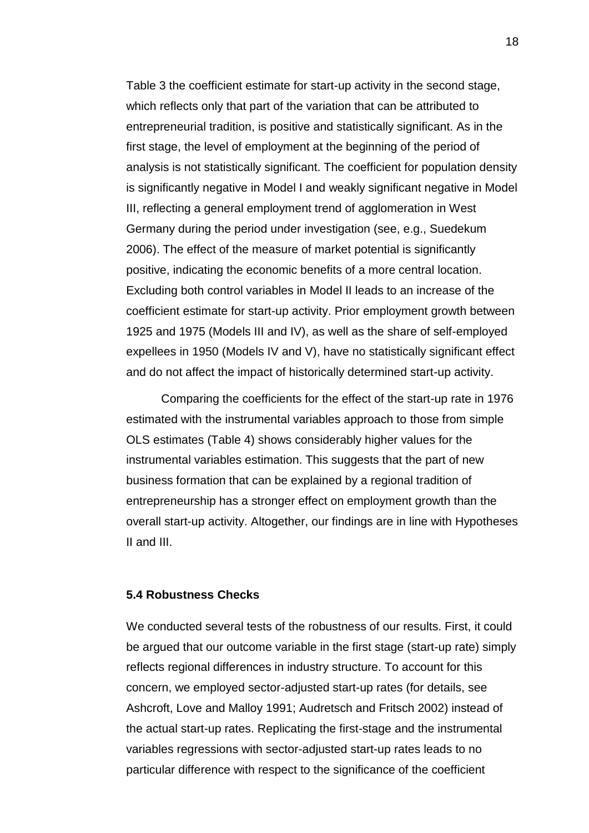Table 3 the coefficient estimate for start-up activity in the second stage, which reflects only that part of the variation that can be attributed to entrepreneurial tradition, is positive and statistically significant. As in the first stage, the level of employment at the beginning of the period of analysis is not statistically significant. The coefficient for population density is significantly negative in Model I and weakly significant negative in Model III, reflecting a general employment trend of agglomeration in West Germany during the period under investigation (see, e.g., Suedekum 2006). The effect of the measure of market potential is significantly positive, indicating the economic benefits of a more central location. Excluding both control variables in Model II leads to an increase of the coefficient estimate for start-up activity. Prior employment growth between 1925 and 1975 (Models III and IV), as well as the share of self-employed expellees in 1950 (Models IV and V), have no statistically significant effect and do not affect the impact of historically determined start-up activity.

Comparing the coefficients for the effect of the start-up rate in 1976 estimated with the instrumental variables approach to those from simple OLS estimates (Table 4) shows considerably higher values for the instrumental variables estimation. This suggests that the part of new business formation that can be explained by a regional tradition of entrepreneurship has a stronger effect on employment growth than the overall start-up activity. Altogether, our findings are in line with Hypotheses II and III.

#### **5.4 Robustness Checks**

We conducted several tests of the robustness of our results. First, it could be argued that our outcome variable in the first stage (start-up rate) simply reflects regional differences in industry structure. To account for this concern, we employed sector-adjusted start-up rates (for details, see Ashcroft, Love and Malloy 1991; Audretsch and Fritsch 2002) instead of the actual start-up rates. Replicating the first-stage and the instrumental variables regressions with sector-adjusted start-up rates leads to no particular difference with respect to the significance of the coefficient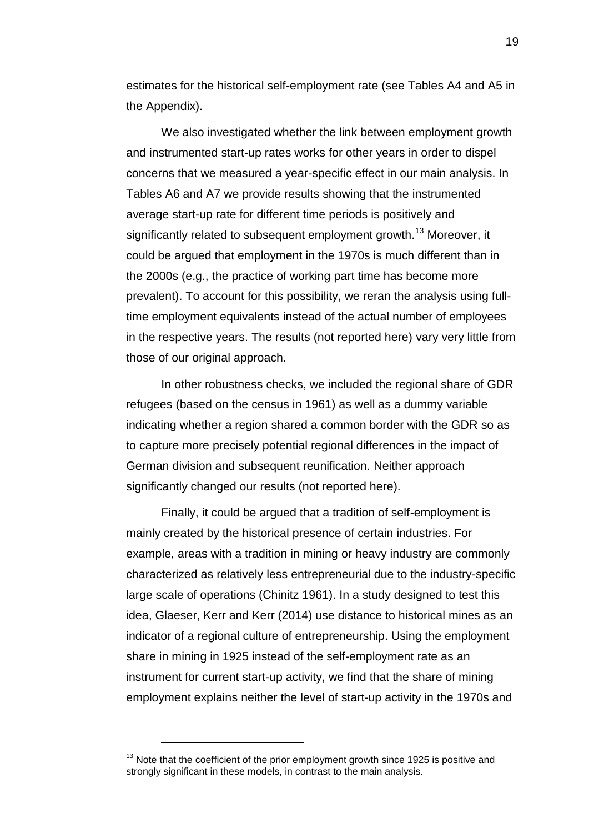estimates for the historical self-employment rate (see Tables A4 and A5 in the Appendix).

We also investigated whether the link between employment growth and instrumented start-up rates works for other years in order to dispel concerns that we measured a year-specific effect in our main analysis. In Tables A6 and A7 we provide results showing that the instrumented average start-up rate for different time periods is positively and significantly related to subsequent employment growth.<sup>13</sup> Moreover, it could be argued that employment in the 1970s is much different than in the 2000s (e.g., the practice of working part time has become more prevalent). To account for this possibility, we reran the analysis using fulltime employment equivalents instead of the actual number of employees in the respective years. The results (not reported here) vary very little from those of our original approach.

In other robustness checks, we included the regional share of GDR refugees (based on the census in 1961) as well as a dummy variable indicating whether a region shared a common border with the GDR so as to capture more precisely potential regional differences in the impact of German division and subsequent reunification. Neither approach significantly changed our results (not reported here).

Finally, it could be argued that a tradition of self-employment is mainly created by the historical presence of certain industries. For example, areas with a tradition in mining or heavy industry are commonly characterized as relatively less entrepreneurial due to the industry-specific large scale of operations (Chinitz 1961). In a study designed to test this idea, Glaeser, Kerr and Kerr (2014) use distance to historical mines as an indicator of a regional culture of entrepreneurship. Using the employment share in mining in 1925 instead of the self-employment rate as an instrument for current start-up activity, we find that the share of mining employment explains neither the level of start-up activity in the 1970s and

l

 $13$  Note that the coefficient of the prior employment growth since 1925 is positive and strongly significant in these models, in contrast to the main analysis.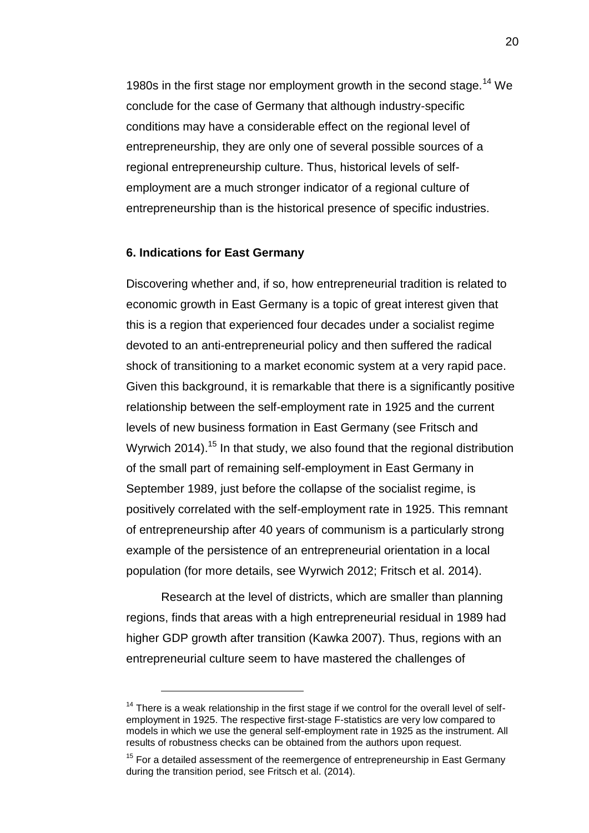1980s in the first stage nor employment growth in the second stage.<sup>14</sup> We conclude for the case of Germany that although industry-specific conditions may have a considerable effect on the regional level of entrepreneurship, they are only one of several possible sources of a regional entrepreneurship culture. Thus, historical levels of selfemployment are a much stronger indicator of a regional culture of entrepreneurship than is the historical presence of specific industries.

#### **6. Indications for East Germany**

l

Discovering whether and, if so, how entrepreneurial tradition is related to economic growth in East Germany is a topic of great interest given that this is a region that experienced four decades under a socialist regime devoted to an anti-entrepreneurial policy and then suffered the radical shock of transitioning to a market economic system at a very rapid pace. Given this background, it is remarkable that there is a significantly positive relationship between the self-employment rate in 1925 and the current levels of new business formation in East Germany (see Fritsch and Wyrwich 2014).<sup>15</sup> In that study, we also found that the regional distribution of the small part of remaining self-employment in East Germany in September 1989, just before the collapse of the socialist regime, is positively correlated with the self-employment rate in 1925. This remnant of entrepreneurship after 40 years of communism is a particularly strong example of the persistence of an entrepreneurial orientation in a local population (for more details, see Wyrwich 2012; Fritsch et al. 2014).

Research at the level of districts, which are smaller than planning regions, finds that areas with a high entrepreneurial residual in 1989 had higher GDP growth after transition (Kawka 2007). Thus, regions with an entrepreneurial culture seem to have mastered the challenges of

 $14$  There is a weak relationship in the first stage if we control for the overall level of selfemployment in 1925. The respective first-stage F-statistics are very low compared to models in which we use the general self-employment rate in 1925 as the instrument. All results of robustness checks can be obtained from the authors upon request.

 $15$  For a detailed assessment of the reemergence of entrepreneurship in East Germany during the transition period, see Fritsch et al. (2014).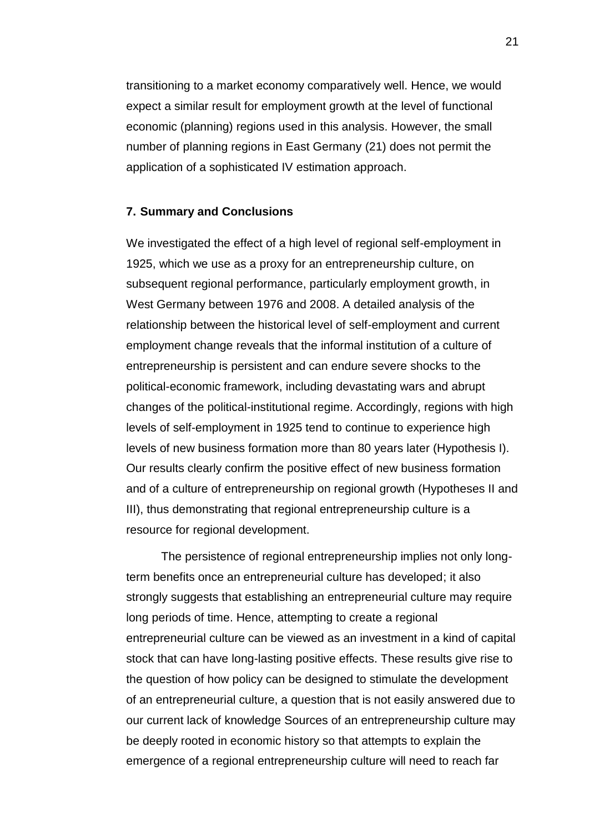transitioning to a market economy comparatively well. Hence, we would expect a similar result for employment growth at the level of functional economic (planning) regions used in this analysis. However, the small number of planning regions in East Germany (21) does not permit the application of a sophisticated IV estimation approach.

#### **7. Summary and Conclusions**

We investigated the effect of a high level of regional self-employment in 1925, which we use as a proxy for an entrepreneurship culture, on subsequent regional performance, particularly employment growth, in West Germany between 1976 and 2008. A detailed analysis of the relationship between the historical level of self-employment and current employment change reveals that the informal institution of a culture of entrepreneurship is persistent and can endure severe shocks to the political-economic framework, including devastating wars and abrupt changes of the political-institutional regime. Accordingly, regions with high levels of self-employment in 1925 tend to continue to experience high levels of new business formation more than 80 years later (Hypothesis I). Our results clearly confirm the positive effect of new business formation and of a culture of entrepreneurship on regional growth (Hypotheses II and III), thus demonstrating that regional entrepreneurship culture is a resource for regional development.

The persistence of regional entrepreneurship implies not only longterm benefits once an entrepreneurial culture has developed; it also strongly suggests that establishing an entrepreneurial culture may require long periods of time. Hence, attempting to create a regional entrepreneurial culture can be viewed as an investment in a kind of capital stock that can have long-lasting positive effects. These results give rise to the question of how policy can be designed to stimulate the development of an entrepreneurial culture, a question that is not easily answered due to our current lack of knowledge Sources of an entrepreneurship culture may be deeply rooted in economic history so that attempts to explain the emergence of a regional entrepreneurship culture will need to reach far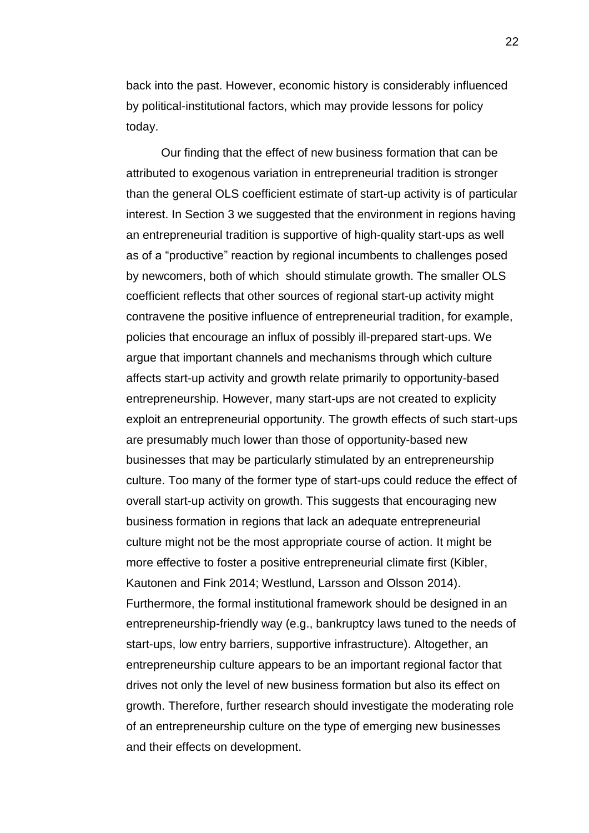back into the past. However, economic history is considerably influenced by political-institutional factors, which may provide lessons for policy today.

Our finding that the effect of new business formation that can be attributed to exogenous variation in entrepreneurial tradition is stronger than the general OLS coefficient estimate of start-up activity is of particular interest. In Section 3 we suggested that the environment in regions having an entrepreneurial tradition is supportive of high-quality start-ups as well as of a "productive" reaction by regional incumbents to challenges posed by newcomers, both of which should stimulate growth. The smaller OLS coefficient reflects that other sources of regional start-up activity might contravene the positive influence of entrepreneurial tradition, for example, policies that encourage an influx of possibly ill-prepared start-ups. We argue that important channels and mechanisms through which culture affects start-up activity and growth relate primarily to opportunity-based entrepreneurship. However, many start-ups are not created to explicity exploit an entrepreneurial opportunity. The growth effects of such start-ups are presumably much lower than those of opportunity-based new businesses that may be particularly stimulated by an entrepreneurship culture. Too many of the former type of start-ups could reduce the effect of overall start-up activity on growth. This suggests that encouraging new business formation in regions that lack an adequate entrepreneurial culture might not be the most appropriate course of action. It might be more effective to foster a positive entrepreneurial climate first (Kibler, Kautonen and Fink 2014; Westlund, Larsson and Olsson 2014). Furthermore, the formal institutional framework should be designed in an entrepreneurship-friendly way (e.g., bankruptcy laws tuned to the needs of start-ups, low entry barriers, supportive infrastructure). Altogether, an entrepreneurship culture appears to be an important regional factor that drives not only the level of new business formation but also its effect on growth. Therefore, further research should investigate the moderating role of an entrepreneurship culture on the type of emerging new businesses and their effects on development.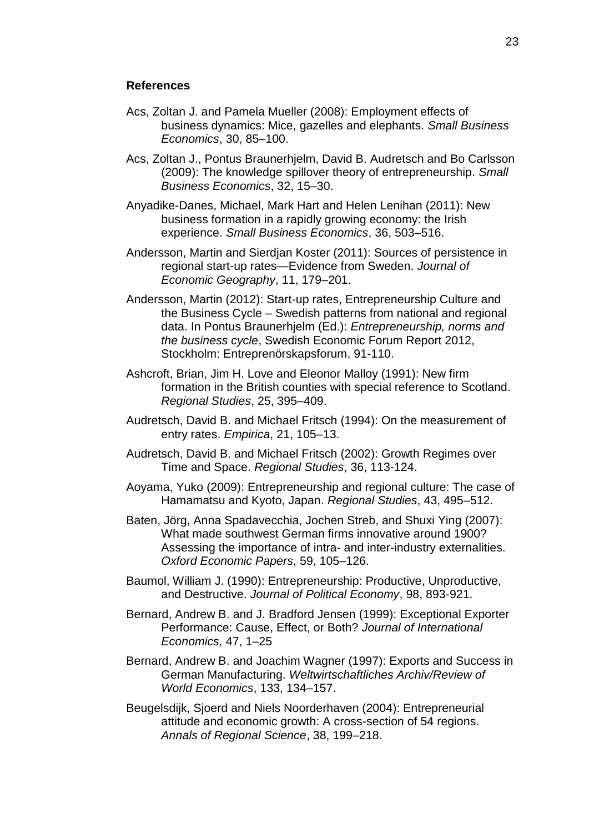#### **References**

- Acs, Zoltan J. and Pamela Mueller (2008): Employment effects of business dynamics: Mice, gazelles and elephants. *Small Business Economics*, 30, 85–100.
- Acs, Zoltan J., Pontus Braunerhjelm, David B. Audretsch and Bo Carlsson (2009): The knowledge spillover theory of entrepreneurship. *Small Business Economics*, 32, 15–30.
- Anyadike-Danes, Michael, Mark Hart and Helen Lenihan (2011): New business formation in a rapidly growing economy: the Irish experience. *Small Business Economics*, 36, 503–516.
- Andersson, Martin and Sierdjan Koster (2011): Sources of persistence in regional start-up rates—Evidence from Sweden. *Journal of Economic Geography*, 11, 179–201.
- Andersson, Martin (2012): Start-up rates, Entrepreneurship Culture and the Business Cycle – Swedish patterns from national and regional data. In Pontus Braunerhjelm (Ed.): *Entrepreneurship, norms and the business cycle*, Swedish Economic Forum Report 2012, Stockholm: Entreprenörskapsforum, 91-110.
- Ashcroft, Brian, Jim H. Love and Eleonor Malloy (1991): New firm formation in the British counties with special reference to Scotland. *Regional Studies*, 25, 395–409.
- Audretsch, David B. and Michael Fritsch (1994): On the measurement of entry rates. *Empirica*, 21, 105–13.
- Audretsch, David B. and Michael Fritsch (2002): Growth Regimes over Time and Space. *Regional Studies*, 36, 113-124.
- Aoyama, Yuko (2009): Entrepreneurship and regional culture: The case of Hamamatsu and Kyoto, Japan. *Regional Studies*, 43, 495–512.
- Baten, Jörg, Anna Spadavecchia, Jochen Streb, and Shuxi Ying (2007): What made southwest German firms innovative around 1900? Assessing the importance of intra- and inter-industry externalities. *Oxford Economic Papers*, 59, 105–126.
- Baumol, William J. (1990): Entrepreneurship: Productive, Unproductive, and Destructive. *Journal of Political Economy*, 98, 893-921.
- Bernard, Andrew B. and J. Bradford Jensen (1999): Exceptional Exporter Performance: Cause, Effect, or Both? *Journal of International Economics,* 47, 1–25
- Bernard, Andrew B. and Joachim Wagner (1997): Exports and Success in German Manufacturing. *Weltwirtschaftliches Archiv/Review of World Economics*, 133, 134–157.
- Beugelsdijk, Sjoerd and Niels Noorderhaven (2004): Entrepreneurial attitude and economic growth: A cross-section of 54 regions. *Annals of Regional Science*, 38, 199–218.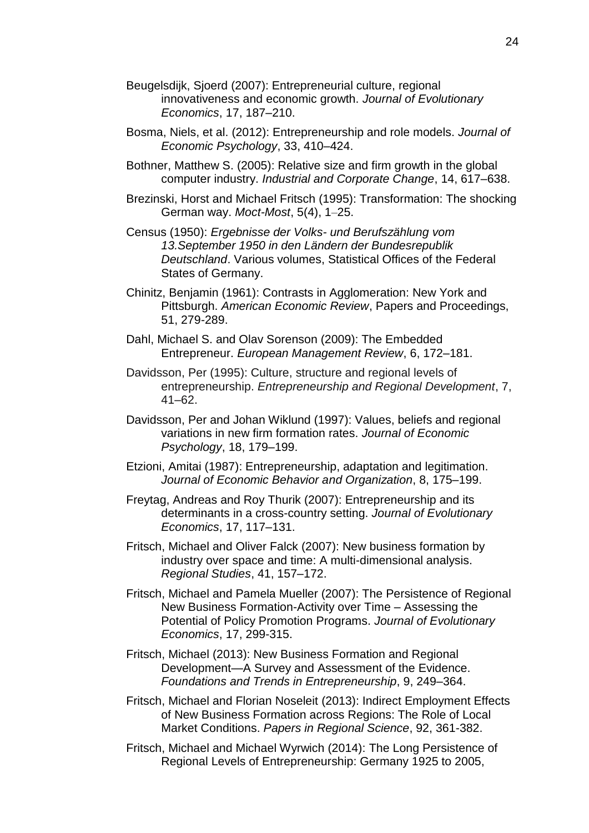- Beugelsdijk, Sjoerd (2007): Entrepreneurial culture, regional innovativeness and economic growth. *Journal of Evolutionary Economics*, 17, 187–210.
- Bosma, Niels, et al. (2012): Entrepreneurship and role models. *Journal of Economic Psychology*, 33, 410–424.
- Bothner, Matthew S. (2005): Relative size and firm growth in the global computer industry. *Industrial and Corporate Change*, 14, 617–638.
- Brezinski, Horst and Michael Fritsch (1995): Transformation: The shocking German way. *Moct-Most*, 5(4), 1–25.
- Census (1950): *Ergebnisse der Volks- und Berufszählung vom 13.September 1950 in den Ländern der Bundesrepublik Deutschland*. Various volumes, Statistical Offices of the Federal States of Germany.
- Chinitz, Benjamin (1961): Contrasts in Agglomeration: New York and Pittsburgh. *American Economic Review*, Papers and Proceedings, 51, 279-289.
- Dahl, Michael S. and Olav Sorenson (2009): The Embedded Entrepreneur. *European Management Review*, 6, 172–181.
- Davidsson, Per (1995): Culture, structure and regional levels of entrepreneurship. *Entrepreneurship and Regional Development*, 7, 41–62.
- Davidsson, Per and Johan Wiklund (1997): Values, beliefs and regional variations in new firm formation rates. *Journal of Economic Psychology*, 18, 179–199.
- Etzioni, Amitai (1987): Entrepreneurship, adaptation and legitimation. *Journal of Economic Behavior and Organization*, 8, 175–199.
- Freytag, Andreas and Roy Thurik (2007): Entrepreneurship and its determinants in a cross-country setting. *Journal of Evolutionary Economics*, 17, 117–131.
- Fritsch, Michael and Oliver Falck (2007): New business formation by industry over space and time: A multi-dimensional analysis. *Regional Studies*, 41, 157–172.
- Fritsch, Michael and Pamela Mueller (2007): The Persistence of Regional New Business Formation-Activity over Time – Assessing the Potential of Policy Promotion Programs. *Journal of Evolutionary Economics*, 17, 299-315.
- Fritsch, Michael (2013): New Business Formation and Regional Development—A Survey and Assessment of the Evidence. *Foundations and Trends in Entrepreneurship*, 9, 249–364.
- Fritsch, Michael and Florian Noseleit (2013): Indirect Employment Effects of New Business Formation across Regions: The Role of Local Market Conditions. *Papers in Regional Science*, 92, 361-382.
- Fritsch, Michael and Michael Wyrwich (2014): The Long Persistence of Regional Levels of Entrepreneurship: Germany 1925 to 2005,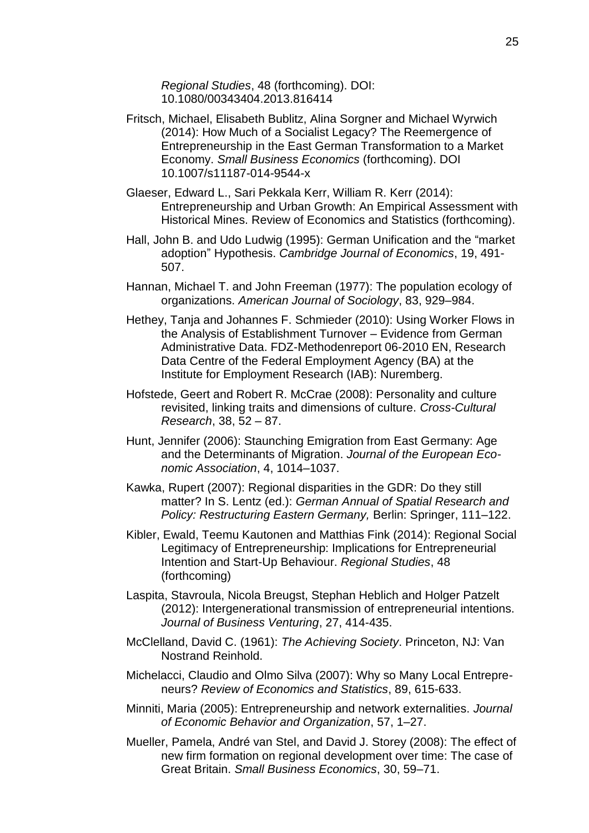*Regional Studies*, 48 (forthcoming). DOI: 10.1080/00343404.2013.816414

- Fritsch, Michael, Elisabeth Bublitz, Alina Sorgner and Michael Wyrwich (2014): How Much of a Socialist Legacy? The Reemergence of Entrepreneurship in the East German Transformation to a Market Economy. *Small Business Economics* (forthcoming). DOI 10.1007/s11187-014-9544-x
- Glaeser, Edward L., Sari Pekkala Kerr, William R. Kerr (2014): Entrepreneurship and Urban Growth: An Empirical Assessment with Historical Mines. Review of Economics and Statistics (forthcoming).
- Hall, John B. and Udo Ludwig (1995): German Unification and the "market adoption" Hypothesis. *Cambridge Journal of Economics*, 19, 491- 507.
- Hannan, Michael T. and John Freeman (1977): The population ecology of organizations. *American Journal of Sociology*, 83, 929–984.
- Hethey, Tanja and Johannes F. Schmieder (2010): Using Worker Flows in the Analysis of Establishment Turnover – Evidence from German Administrative Data. FDZ-Methodenreport 06-2010 EN, Research Data Centre of the Federal Employment Agency (BA) at the Institute for Employment Research (IAB): Nuremberg.
- Hofstede, Geert and Robert R. McCrae (2008): Personality and culture revisited, linking traits and dimensions of culture. *Cross-Cultural Research*, 38, 52 – 87.
- Hunt, Jennifer (2006): Staunching Emigration from East Germany: Age and the Determinants of Migration. *Journal of the European Economic Association*, 4, 1014–1037.
- Kawka, Rupert (2007): Regional disparities in the GDR: Do they still matter? In S. Lentz (ed.): *German Annual of Spatial Research and Policy: Restructuring Eastern Germany,* Berlin: Springer, 111–122.
- Kibler, Ewald, Teemu Kautonen and Matthias Fink (2014): Regional Social Legitimacy of Entrepreneurship: Implications for Entrepreneurial Intention and Start-Up Behaviour. *Regional Studies*, 48 (forthcoming)
- Laspita, Stavroula, Nicola Breugst, Stephan Heblich and Holger Patzelt (2012): Intergenerational transmission of entrepreneurial intentions. *Journal of Business Venturing*, 27, 414-435.
- McClelland, David C. (1961): *The Achieving Society*. Princeton, NJ: Van Nostrand Reinhold.
- Michelacci, Claudio and Olmo Silva (2007): Why so Many Local Entrepreneurs? *Review of Economics and Statistics*, 89, 615-633.
- Minniti, Maria (2005): Entrepreneurship and network externalities. *Journal of Economic Behavior and Organization*, 57, 1–27.
- Mueller, Pamela, André van Stel, and David J. Storey (2008): The effect of new firm formation on regional development over time: The case of Great Britain. *Small Business Economics*, 30, 59–71.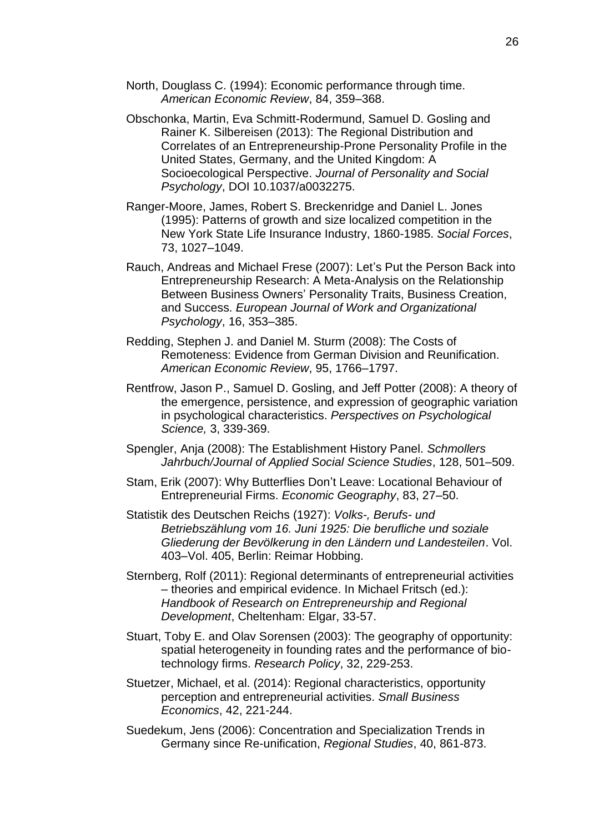- North, Douglass C. (1994): Economic performance through time. *American Economic Review*, 84, 359–368.
- Obschonka, Martin, Eva Schmitt-Rodermund, Samuel D. Gosling and Rainer K. Silbereisen (2013): The Regional Distribution and Correlates of an Entrepreneurship-Prone Personality Profile in the United States, Germany, and the United Kingdom: A Socioecological Perspective. *Journal of Personality and Social Psychology*, DOI 10.1037/a0032275.
- Ranger-Moore, James, Robert S. Breckenridge and Daniel L. Jones (1995): Patterns of growth and size localized competition in the New York State Life Insurance Industry, 1860-1985. *Social Forces*, 73, 1027–1049.
- Rauch, Andreas and Michael Frese (2007): Let's Put the Person Back into Entrepreneurship Research: A Meta-Analysis on the Relationship Between Business Owners' Personality Traits, Business Creation, and Success. *European Journal of Work and Organizational Psychology*, 16, 353–385.
- Redding, Stephen J. and Daniel M. Sturm (2008): The Costs of Remoteness: Evidence from German Division and Reunification. *American Economic Review*, 95, 1766–1797.
- Rentfrow, Jason P., Samuel D. Gosling, and Jeff Potter (2008): A theory of the emergence, persistence, and expression of geographic variation in psychological characteristics. *Perspectives on Psychological Science,* 3, 339-369.
- Spengler, Anja (2008): The Establishment History Panel. *Schmollers Jahrbuch/Journal of Applied Social Science Studies*, 128, 501–509.
- Stam, Erik (2007): Why Butterflies Don't Leave: Locational Behaviour of Entrepreneurial Firms. *Economic Geography*, 83, 27–50.
- Statistik des Deutschen Reichs (1927): *Volks-, Berufs- und Betriebszählung vom 16. Juni 1925: Die berufliche und soziale Gliederung der Bevölkerung in den Ländern und Landesteilen*. Vol. 403–Vol. 405, Berlin: Reimar Hobbing.
- Sternberg, Rolf (2011): Regional determinants of entrepreneurial activities – theories and empirical evidence. In Michael Fritsch (ed.): *Handbook of Research on Entrepreneurship and Regional Development*, Cheltenham: Elgar, 33-57.
- Stuart, Toby E. and Olav Sorensen (2003): The geography of opportunity: spatial heterogeneity in founding rates and the performance of biotechnology firms. *Research Policy*, 32, 229-253.
- Stuetzer, Michael, et al. (2014): Regional characteristics, opportunity perception and entrepreneurial activities. *Small Business Economics*, 42, 221-244.
- Suedekum, Jens (2006): Concentration and Specialization Trends in Germany since Re-unification, *Regional Studies*, 40, 861-873.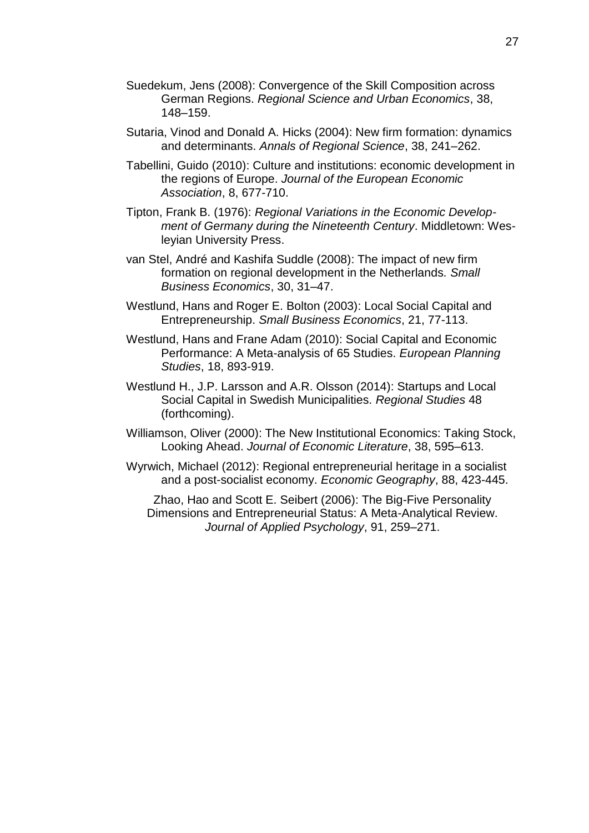- Suedekum, Jens (2008): Convergence of the Skill Composition across German Regions. *Regional Science and Urban Economics*, 38, 148–159.
- Sutaria, Vinod and Donald A. Hicks (2004): New firm formation: dynamics and determinants. *Annals of Regional Science*, 38, 241–262.
- Tabellini, Guido (2010): Culture and institutions: economic development in the regions of Europe. *Journal of the European Economic Association*, 8, 677-710.
- Tipton, Frank B. (1976): *Regional Variations in the Economic Development of Germany during the Nineteenth Century*. Middletown: Wesleyian University Press.
- van Stel, André and Kashifa Suddle (2008): The impact of new firm formation on regional development in the Netherlands. *Small Business Economics*, 30, 31–47.
- Westlund, Hans and Roger E. Bolton (2003): Local Social Capital and Entrepreneurship. *Small Business Economics*, 21, 77-113.
- Westlund, Hans and Frane Adam (2010): Social Capital and Economic Performance: A Meta-analysis of 65 Studies. *European Planning Studies*, 18, 893-919.
- Westlund H., J.P. Larsson and A.R. Olsson (2014): Startups and Local Social Capital in Swedish Municipalities. *Regional Studies* 48 (forthcoming).
- Williamson, Oliver (2000): The New Institutional Economics: Taking Stock, Looking Ahead. *Journal of Economic Literature*, 38, 595–613.
- Wyrwich, Michael (2012): Regional entrepreneurial heritage in a socialist and a post-socialist economy. *Economic Geography*, 88, 423-445.

Zhao, Hao and Scott E. Seibert (2006): The Big-Five Personality Dimensions and Entrepreneurial Status: A Meta-Analytical Review. *Journal of Applied Psychology*, 91, 259–271.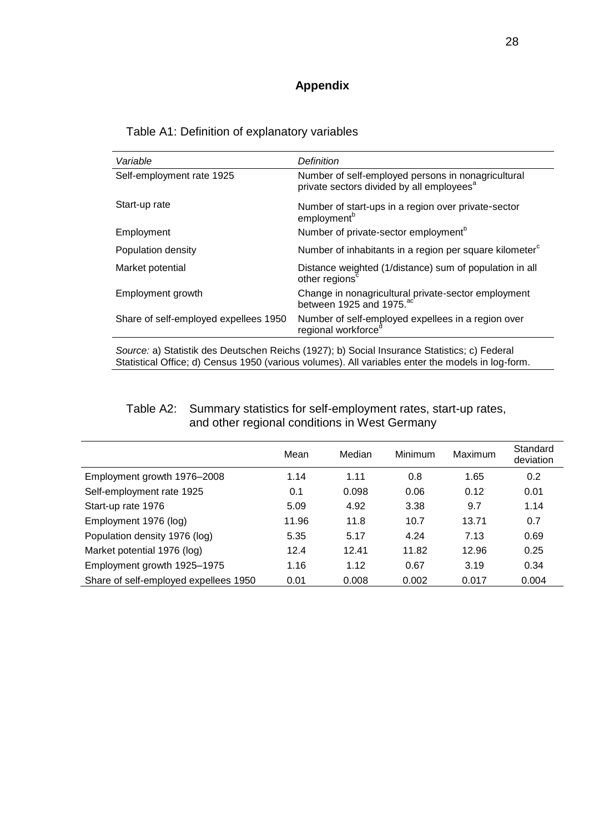## **Appendix**

| Variable                                                                                                                                                                                          | Definition                                                                                                  |  |  |  |  |  |
|---------------------------------------------------------------------------------------------------------------------------------------------------------------------------------------------------|-------------------------------------------------------------------------------------------------------------|--|--|--|--|--|
| Self-employment rate 1925                                                                                                                                                                         | Number of self-employed persons in nonagricultural<br>private sectors divided by all employees <sup>a</sup> |  |  |  |  |  |
| Start-up rate                                                                                                                                                                                     | Number of start-ups in a region over private-sector<br>employment <sup>b</sup>                              |  |  |  |  |  |
| Employment                                                                                                                                                                                        | Number of private-sector employment <sup>b</sup>                                                            |  |  |  |  |  |
| Population density                                                                                                                                                                                | Number of inhabitants in a region per square kilometer <sup>c</sup>                                         |  |  |  |  |  |
| Market potential                                                                                                                                                                                  | Distance weighted (1/distance) sum of population in all<br>other regions <sup>c</sup>                       |  |  |  |  |  |
| Employment growth                                                                                                                                                                                 | Change in nonagricultural private-sector employment<br>between 1925 and 1975. <sup>ac</sup>                 |  |  |  |  |  |
| Share of self-employed expellees 1950                                                                                                                                                             | Number of self-employed expellees in a region over<br>regional workforce <sup>c</sup>                       |  |  |  |  |  |
| Source: a) Statistik des Deutschen Reichs (1927); b) Social Insurance Statistics; c) Federal<br>Statistical Office; d) Census 1950 (various volumes). All variables enter the models in log-form. |                                                                                                             |  |  |  |  |  |

and other regional conditions in West Germany

|                                       | Mean  | Median | Minimum | Maximum | Standard<br>deviation |
|---------------------------------------|-------|--------|---------|---------|-----------------------|
| Employment growth 1976-2008           | 1.14  | 1.11   | 0.8     | 1.65    | 0.2                   |
| Self-employment rate 1925             | 0.1   | 0.098  | 0.06    | 0.12    | 0.01                  |
| Start-up rate 1976                    | 5.09  | 4.92   | 3.38    | 9.7     | 1.14                  |
| Employment 1976 (log)                 | 11.96 | 11.8   | 10.7    | 13.71   | 0.7                   |
| Population density 1976 (log)         | 5.35  | 5.17   | 4.24    | 7.13    | 0.69                  |
| Market potential 1976 (log)           | 12.4  | 12.41  | 11.82   | 12.96   | 0.25                  |
| Employment growth 1925-1975           | 1.16  | 1.12   | 0.67    | 3.19    | 0.34                  |
| Share of self-employed expellees 1950 | 0.01  | 0.008  | 0.002   | 0.017   | 0.004                 |

# Table A2: Summary statistics for self-employment rates, start-up rates,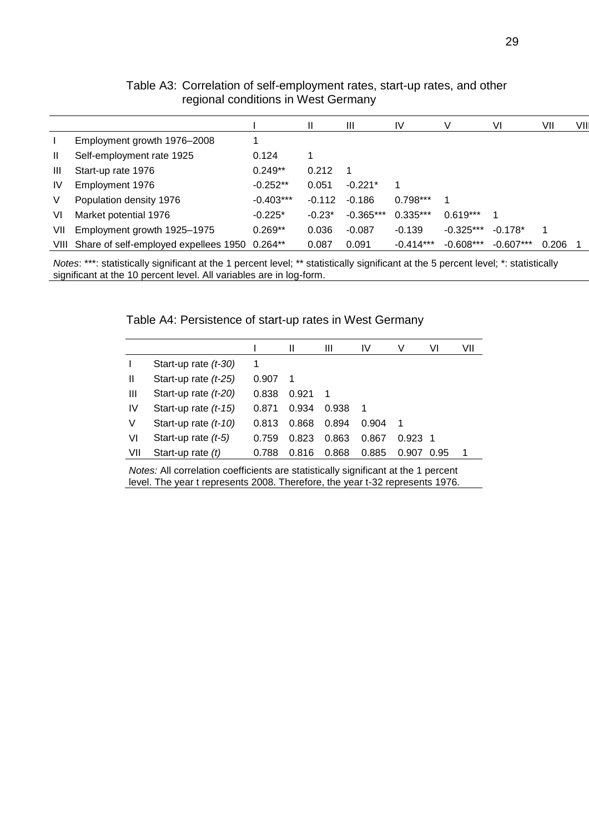|     |                                                    |             | Ш        | Ш           | IV          | V           | VI          | VII   | VII |
|-----|----------------------------------------------------|-------------|----------|-------------|-------------|-------------|-------------|-------|-----|
|     | Employment growth 1976-2008                        |             |          |             |             |             |             |       |     |
| Ш   | Self-employment rate 1925                          | 0.124       |          |             |             |             |             |       |     |
| Ш   | Start-up rate 1976                                 | $0.249**$   | 0.212    | -1          |             |             |             |       |     |
| IV  | Employment 1976                                    | $-0.252**$  | 0.051    | $-0.221*$   | 1           |             |             |       |     |
| V   | Population density 1976                            | $-0.403***$ | $-0.112$ | $-0.186$    | $0.798***$  |             |             |       |     |
| VI  | Market potential 1976                              | $-0.225*$   | $-0.23*$ | $-0.365***$ | $0.335***$  | $0.619***$  | 1           |       |     |
| VII | Employment growth 1925-1975                        | $0.269**$   | 0.036    | $-0.087$    | $-0.139$    | $-0.325***$ | $-0.178*$   |       |     |
|     | VIII Share of self-employed expellees 1950 0.264** |             | 0.087    | 0.091       | $-0.414***$ | $-0.608***$ | $-0.607***$ | 0.206 |     |

Table A3: Correlation of self-employment rates, start-up rates, and other regional conditions in West Germany

*Notes*: \*\*\*: statistically significant at the 1 percent level; \*\* statistically significant at the 5 percent level; \*: statistically significant at the 10 percent level. All variables are in log-form.

Table A4: Persistence of start-up rates in West Germany

|     |                        |       | Ш     | Ш     | IV    | v     | VI   | VII |
|-----|------------------------|-------|-------|-------|-------|-------|------|-----|
|     | Start-up rate $(t-30)$ | 1     |       |       |       |       |      |     |
| Ш   | Start-up rate $(t-25)$ | 0.907 | 1     |       |       |       |      |     |
| Ш   | Start-up rate $(t-20)$ | 0.838 | 0.921 | -1    |       |       |      |     |
| IV  | Start-up rate $(t-15)$ | 0.871 | 0.934 | 0.938 | 1     |       |      |     |
| V   | Start-up rate $(t-10)$ | 0.813 | 0.868 | 0.894 | 0.904 | 1     |      |     |
| VI  | Start-up rate $(t-5)$  | 0.759 | 0.823 | 0.863 | 0.867 | 0.923 | -1   |     |
| VII | Start-up rate $(t)$    | 0.788 | 0.816 | 0.868 | 0.885 | 0.907 | 0.95 |     |

*Notes:* All correlation coefficients are statistically significant at the 1 percent level. The year t represents 2008. Therefore, the year t-32 represents 1976.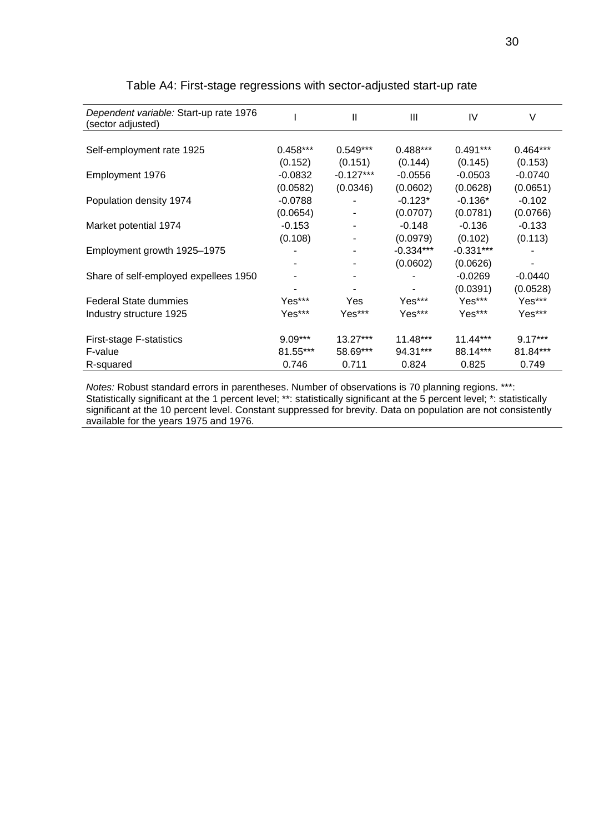| Dependent variable: Start-up rate 1976<br>(sector adjusted) |            | $\mathbf{I}$ | III         | IV         | V          |
|-------------------------------------------------------------|------------|--------------|-------------|------------|------------|
|                                                             |            |              |             |            |            |
| Self-employment rate 1925                                   | $0.458***$ | $0.549***$   | $0.488***$  | $0.491***$ | $0.464***$ |
|                                                             | (0.152)    | (0.151)      | (0.144)     | (0.145)    | (0.153)    |
| Employment 1976                                             | $-0.0832$  | $-0.127***$  | $-0.0556$   | $-0.0503$  | $-0.0740$  |
|                                                             | (0.0582)   | (0.0346)     | (0.0602)    | (0.0628)   | (0.0651)   |
| Population density 1974                                     | $-0.0788$  | ٠            | $-0.123*$   | $-0.136*$  | $-0.102$   |
|                                                             | (0.0654)   |              | (0.0707)    | (0.0781)   | (0.0766)   |
| Market potential 1974                                       | $-0.153$   | ۰            | $-0.148$    | $-0.136$   | $-0.133$   |
|                                                             | (0.108)    |              | (0.0979)    | (0.102)    | (0.113)    |
| Employment growth 1925-1975                                 |            |              | $-0.334***$ | -0.331***  |            |
|                                                             |            |              | (0.0602)    | (0.0626)   |            |
| Share of self-employed expellees 1950                       |            |              |             | $-0.0269$  | $-0.0440$  |
|                                                             |            |              |             | (0.0391)   | (0.0528)   |
| <b>Federal State dummies</b>                                | Yes***     | Yes          | Yes***      | Yes***     | Yes***     |
| Industry structure 1925                                     | Yes***     | Yes***       | Yes***      | Yes***     | Yes***     |
|                                                             |            |              |             |            |            |
| First-stage F-statistics                                    | $9.09***$  | $13.27***$   | $11.48***$  | $11.44***$ | $9.17***$  |
| F-value                                                     | 81.55***   | 58.69***     | 94.31***    | 88.14***   | 81.84***   |
| R-squared                                                   | 0.746      | 0.711        | 0.824       | 0.825      | 0.749      |

#### Table A4: First-stage regressions with sector-adjusted start-up rate

*Notes:* Robust standard errors in parentheses. Number of observations is 70 planning regions. \*\*\*: Statistically significant at the 1 percent level; \*\*: statistically significant at the 5 percent level; \*: statistically significant at the 10 percent level. Constant suppressed for brevity. Data on population are not consistently available for the years 1975 and 1976.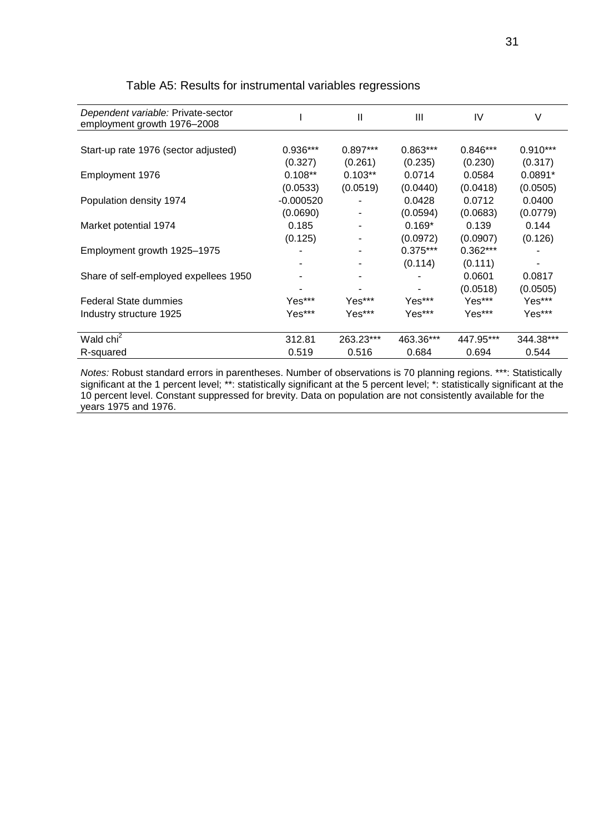| Dependent variable: Private-sector<br>employment growth 1976-2008 |             | Ш          | Ш          | IV         | V          |
|-------------------------------------------------------------------|-------------|------------|------------|------------|------------|
|                                                                   |             |            |            |            |            |
| Start-up rate 1976 (sector adjusted)                              | 0.936***    | $0.897***$ | $0.863***$ | $0.846***$ | $0.910***$ |
|                                                                   | (0.327)     | (0.261)    | (0.235)    | (0.230)    | (0.317)    |
| Employment 1976                                                   | $0.108**$   | $0.103**$  | 0.0714     | 0.0584     | $0.0891*$  |
|                                                                   | (0.0533)    | (0.0519)   | (0.0440)   | (0.0418)   | (0.0505)   |
| Population density 1974                                           | $-0.000520$ |            | 0.0428     | 0.0712     | 0.0400     |
|                                                                   | (0.0690)    |            | (0.0594)   | (0.0683)   | (0.0779)   |
| Market potential 1974                                             | 0.185       |            | $0.169*$   | 0.139      | 0.144      |
|                                                                   | (0.125)     |            | (0.0972)   | (0.0907)   | (0.126)    |
| Employment growth 1925-1975                                       |             |            | $0.375***$ | 0.362***   |            |
|                                                                   |             |            | (0.114)    | (0.111)    |            |
| Share of self-employed expellees 1950                             |             |            |            | 0.0601     | 0.0817     |
|                                                                   |             |            |            | (0.0518)   | (0.0505)   |
| <b>Federal State dummies</b>                                      | Yes***      | Yes***     | Yes***     | Yes***     | Yes***     |
| Industry structure 1925                                           | Yes***      | Yes***     | Yes***     | Yes***     | Yes***     |
|                                                                   |             |            |            |            |            |
| Wald chi <sup>2</sup>                                             | 312.81      | 263.23***  | 463.36***  | 447.95***  | 344.38***  |
| R-squared                                                         | 0.519       | 0.516      | 0.684      | 0.694      | 0.544      |

#### Table A5: Results for instrumental variables regressions

*Notes:* Robust standard errors in parentheses. Number of observations is 70 planning regions. \*\*\*: Statistically significant at the 1 percent level; \*\*: statistically significant at the 5 percent level; \*: statistically significant at the 10 percent level. Constant suppressed for brevity. Data on population are not consistently available for the years 1975 and 1976.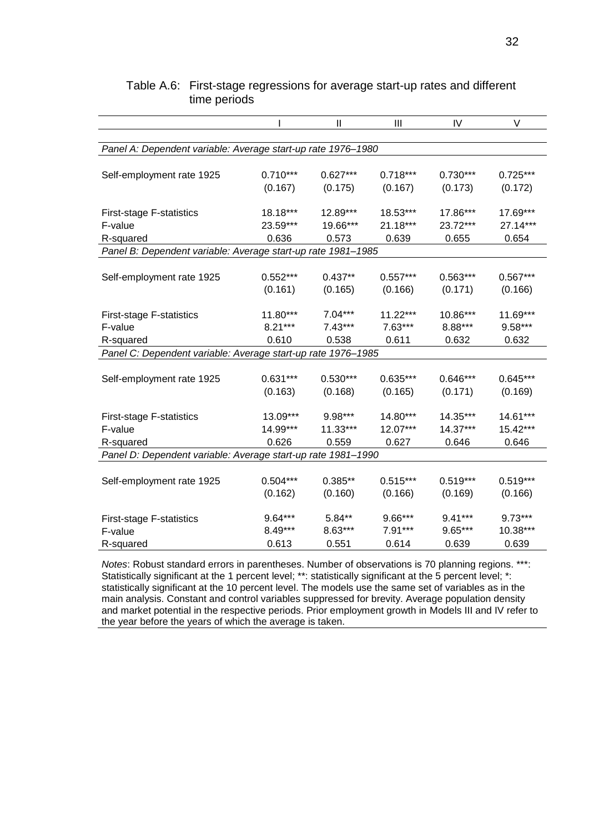|                                                              |            | Ш          | Ш          | IV         | V          |
|--------------------------------------------------------------|------------|------------|------------|------------|------------|
|                                                              |            |            |            |            |            |
| Panel A: Dependent variable: Average start-up rate 1976-1980 |            |            |            |            |            |
|                                                              |            |            |            |            |            |
| Self-employment rate 1925                                    | $0.710***$ | $0.627***$ | $0.718***$ | $0.730***$ | $0.725***$ |
|                                                              | (0.167)    | (0.175)    | (0.167)    | (0.173)    | (0.172)    |
|                                                              | 18.18***   | 12.89***   | 18.53***   | 17.86***   | 17.69***   |
| <b>First-stage F-statistics</b><br>F-value                   | 23.59***   | 19.66***   | 21.18***   | 23.72***   | 27.14***   |
| R-squared                                                    | 0.636      | 0.573      | 0.639      | 0.655      | 0.654      |
| Panel B: Dependent variable: Average start-up rate 1981-1985 |            |            |            |            |            |
|                                                              |            |            |            |            |            |
| Self-employment rate 1925                                    | $0.552***$ | $0.437**$  | $0.557***$ | $0.563***$ | $0.567***$ |
|                                                              | (0.161)    | (0.165)    | (0.166)    | (0.171)    | (0.166)    |
|                                                              |            |            |            |            |            |
| <b>First-stage F-statistics</b>                              | 11.80***   | $7.04***$  | $11.22***$ | 10.86***   | 11.69***   |
| F-value                                                      | $8.21***$  | $7.43***$  | $7.63***$  | 8.88***    | 9.58***    |
| R-squared                                                    | 0.610      | 0.538      | 0.611      | 0.632      | 0.632      |
| Panel C: Dependent variable: Average start-up rate 1976-1985 |            |            |            |            |            |
|                                                              |            |            |            |            |            |
| Self-employment rate 1925                                    | $0.631***$ | $0.530***$ | $0.635***$ | $0.646***$ | $0.645***$ |
|                                                              | (0.163)    | (0.168)    | (0.165)    | (0.171)    | (0.169)    |
|                                                              | 13.09***   | 9.98***    | 14.80***   | 14.35***   | 14.61***   |
| <b>First-stage F-statistics</b><br>F-value                   | 14.99***   | 11.33***   | $12.07***$ | $14.37***$ | $15.42***$ |
| R-squared                                                    | 0.626      | 0.559      | 0.627      | 0.646      | 0.646      |
| Panel D: Dependent variable: Average start-up rate 1981-1990 |            |            |            |            |            |
|                                                              |            |            |            |            |            |
| Self-employment rate 1925                                    | $0.504***$ | $0.385**$  | $0.515***$ | $0.519***$ | $0.519***$ |
|                                                              | (0.162)    | (0.160)    | (0.166)    | (0.169)    | (0.166)    |
|                                                              |            |            |            |            |            |
| <b>First-stage F-statistics</b>                              | 9.64***    | 5.84**     | 9.66***    | 9.41***    | $9.73***$  |
| F-value                                                      | 8.49***    | 8.63***    | $7.91***$  | $9.65***$  | 10.38***   |
| R-squared                                                    | 0.613      | 0.551      | 0.614      | 0.639      | 0.639      |

#### Table A.6: First-stage regressions for average start-up rates and different time periods

*Notes*: Robust standard errors in parentheses. Number of observations is 70 planning regions. \*\*\*: Statistically significant at the 1 percent level; \*\*: statistically significant at the 5 percent level; \*: statistically significant at the 10 percent level. The models use the same set of variables as in the main analysis. Constant and control variables suppressed for brevity. Average population density and market potential in the respective periods. Prior employment growth in Models III and IV refer to the year before the years of which the average is taken.